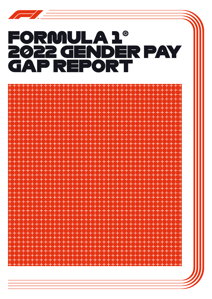# FORMULA 1® 2022 GENDER PAY GAP REPORT

 $\sqrt{2}$ 

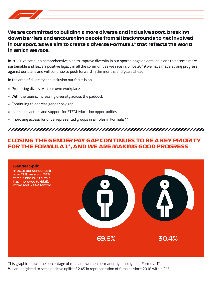

## **We are committed to building a more diverse and inclusive sport, breaking down barriers and encouraging people from all backgrounds to get involved in our sport, as we aim to create a diverse Formula 1**® **that reflects the world in which we race.**

In 2019 we set out a comprehensive plan to improve diversity in our sport alongside detailed plans to become more sustainable and leave a positive legacy in all the communities we race in. Since 2019 we have made strong progress against our plans and will continue to push forward in the months and years ahead.

In the area of diversity and inclusion our focus is on:

- Promoting diversity in our own workplace
- With the teams, increasing diversity across the paddock
- Continuing to address gender pay gap
- Increasing access and support for STEM education opportunities
- Improving access for underrepresented groups in all roles in Formula 1®

## **CLOSING THE GENDER PAY GAP CONTINUES TO BE A KEY PRIORITY FOR THE FORMULA 1**®**, AND WE ARE MAKING GOOD PROGRESS**



This graphic shows the percentage of men and women permanently employed at Formula 1®. We are delighted to see a positive uplift of 2.4% in representation of females since 2018 within F1®.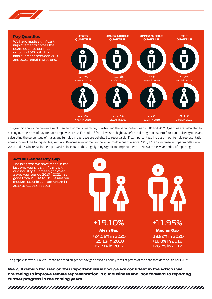



This graphic shows the percentage of men and women in each pay quartile, and the variance between 2018 and 2021. Quartiles are calculated by setting out the rates of pay for each employee across Formula 1<sup>®</sup> from lowest to highest, before splitting that list into four equal-sized groups and calculating the percentage of males and females in each. We are delighted to report a significant percentage increase in our female representation across three of the four quartiles; with a 2.3% increase in women in the lower middle quartile since 2018, a 10.7% increase in upper middle since 2018 and a 4% increase in the top quartile since 2018, thus highlighting significant improvements across a three-year period of reporting.

#### **Actual Gender Pay Gap**

last two years is significant within our industry. Our mean gap over a two year period 2017 – 2021 has gone from +51.9% to +19.1% and our median has shifted from +26.7% in 2017 to +11.95% in 2021.



The graphic shows our overall mean and median gender pay gap based on hourly rates of pay as of the snapshot date of 5th April 2021.

**We will remain focused on this important issue and we are confident in the actions we are taking to improve female representation in our business and look forward to reporting further progress in the coming years.**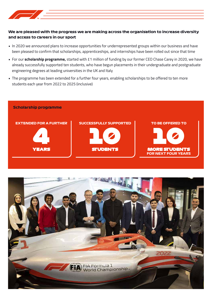

### **We are pleased with the progress we are making across the organisation to increase diversity and access to careers in our sport**

- In 2020 we announced plans to increase opportunities for underrepresented groups within our business and have been pleased to confirm that scholarships, apprenticeships, and internships have been rolled out since that time
- For our **scholarship programme,** started with £1 million of funding by our former CEO Chase Carey in 2020, we have already successfully supported ten students, who have begun placements in their undergraduate and postgraduate engineering degrees at leading universities in the UK and Italy
- The programme has been extended for a further four years, enabling scholarships to be offered to ten more students each year from 2022 to 2025 (inclusive)



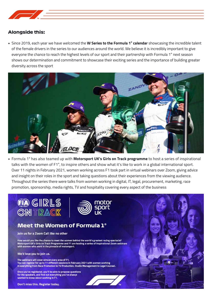

## **Alongside this:**

• Since 2019, each year we have welcomed the **W Series to the Formula 1® calendar** showcasing the incredible talent of the female drivers in the series to our audiences around the world. We believe it is incredibly important to give everyone the chance to reach the highest levels of our sport and their partnership with Formula 1® next season shows our determination and commitment to showcase their exciting series and the importance of building greater diversity across the sport



• Formula 1® has also teamed up with **Motorsport UK's Girls on Track programme** to host a series of inspirational talks with the women of F1®, to inspire others and show what it's like to work in a global international sport. Over 11 nights in February 2021, women working across F1 took part in virtual webinars over Zoom, giving advice and insight on their roles in the sport and taking questions about their experiences from the viewing audience. Throughout the series there were talks from women working in digital, IT, legal, procurement, marketing, race promotion, sponsorship, media rights, TV and hospitality covering every aspect of the business





## Meet the Women of Formula 1<sup>®</sup>

Join us for a Zoom Call like no other

How would you like the chance to meet the women behind the world's greatest racing spectacle? Motorsport UK's Girls on Track Programme and F1 are hosting a series of inspirational Zoom webinars with women who work in the pinnacle of motorsport.

We'd love you to join us.

The webinars will cover almost every area of F1. You can register for up to 11 different sessions in February 2021 with women working in everything from Race Promotion to TV Production, Studio Management to Legal Counsel.

Once you've registered, you'll be able to propose questions for the speakers, and find out everything you've always wanted to know about working in F1.

Don't miss this. Register today.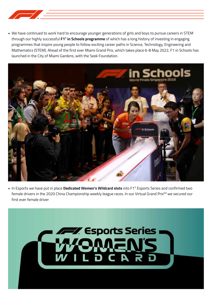

• We have continued to work hard to encourage younger generations of girls and boys to pursue careers in STEM through our highly successful **F1® in Schools programme** of which has a long history of investing in engaging programmes that inspire young people to follow exciting career paths in Science, Technology, Engineering and Mathematics (STEM). Ahead of the first ever Miami Grand Prix, which takes place 6-8 May 2022, F1 in Schools has launched in the City of Miami Gardens, with the Seek Foundation.



• In Esports we have put in place **Dedicated Women's Wildcard slots** into F1® Esports Series and confirmed two female drivers in the 2020 China Championship weekly league races. In our Virtual Grand Prix<sup>™</sup> we secured our first ever female driver